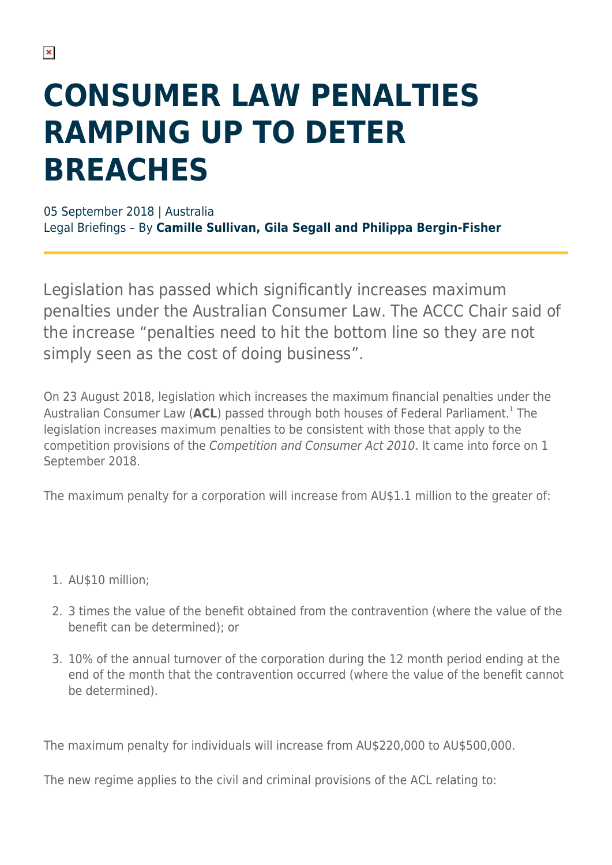# **CONSUMER LAW PENALTIES RAMPING UP TO DETER BREACHES**

05 September 2018 | Australia Legal Briefings – By **Camille Sullivan, Gila Segall and Philippa Bergin-Fisher**

Legislation has passed which significantly increases maximum penalties under the Australian Consumer Law. The ACCC Chair said of the increase "penalties need to hit the bottom line so they are not simply seen as the cost of doing business".

On 23 August 2018, legislation which increases the maximum financial penalties under the Australian Consumer Law (ACL) passed through both houses of Federal Parliament.<sup>1</sup> The legislation increases maximum penalties to be consistent with those that apply to the competition provisions of the Competition and Consumer Act 2010. It came into force on 1 September 2018.

The maximum penalty for a corporation will increase from AU\$1.1 million to the greater of:

- 1. AU\$10 million;
- 2. 3 times the value of the benefit obtained from the contravention (where the value of the benefit can be determined); or
- 3. 10% of the annual turnover of the corporation during the 12 month period ending at the end of the month that the contravention occurred (where the value of the benefit cannot be determined).

The maximum penalty for individuals will increase from AU\$220,000 to AU\$500,000.

The new regime applies to the civil and criminal provisions of the ACL relating to: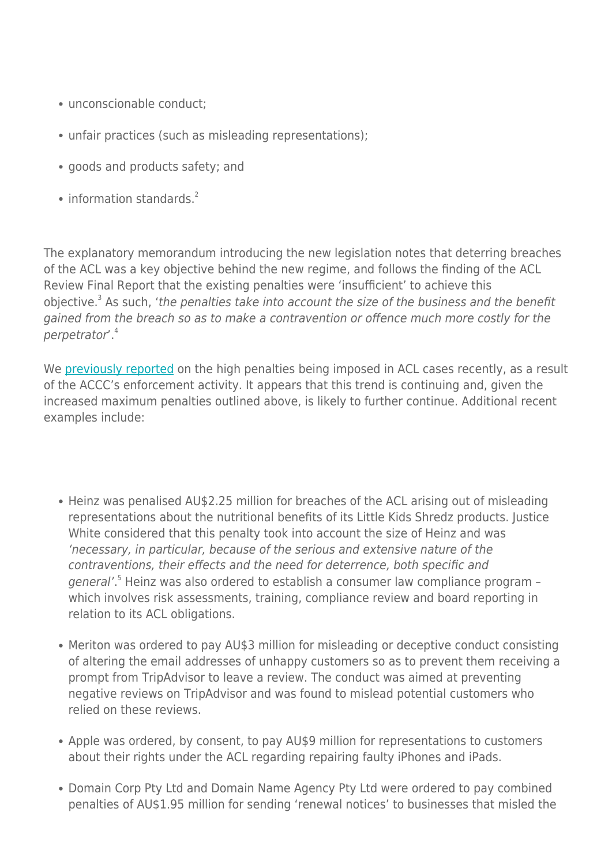- unconscionable conduct;
- unfair practices (such as misleading representations);
- goods and products safety; and
- $\bullet$  information standards<sup>2</sup>

The explanatory memorandum introducing the new legislation notes that deterring breaches of the ACL was a key objective behind the new regime, and follows the finding of the ACL Review Final Report that the existing penalties were 'insufficient' to achieve this objective.<sup>3</sup> As such, 'the penalties take into account the size of the business and the benefit gained from the breach so as to make a contravention or offence much more costly for the perpetrator'.<sup>4</sup>

We [previously reported](https://www.herbertsmithfreehills.com/latest-thinking/high-penalties-ordered-for-consumer-law-breaches) on the high penalties being imposed in ACL cases recently, as a result of the ACCC's enforcement activity. It appears that this trend is continuing and, given the increased maximum penalties outlined above, is likely to further continue. Additional recent examples include:

- Heinz was penalised AU\$2.25 million for breaches of the ACL arising out of misleading representations about the nutritional benefits of its Little Kids Shredz products. Justice White considered that this penalty took into account the size of Heinz and was 'necessary, in particular, because of the serious and extensive nature of the contraventions, their effects and the need for deterrence, both specific and general'.<sup>5</sup> Heinz was also ordered to establish a consumer law compliance program which involves risk assessments, training, compliance review and board reporting in relation to its ACL obligations.
- Meriton was ordered to pay AU\$3 million for misleading or deceptive conduct consisting of altering the email addresses of unhappy customers so as to prevent them receiving a prompt from TripAdvisor to leave a review. The conduct was aimed at preventing negative reviews on TripAdvisor and was found to mislead potential customers who relied on these reviews.
- Apple was ordered, by consent, to pay AU\$9 million for representations to customers about their rights under the ACL regarding repairing faulty iPhones and iPads.
- Domain Corp Pty Ltd and Domain Name Agency Pty Ltd were ordered to pay combined penalties of AU\$1.95 million for sending 'renewal notices' to businesses that misled the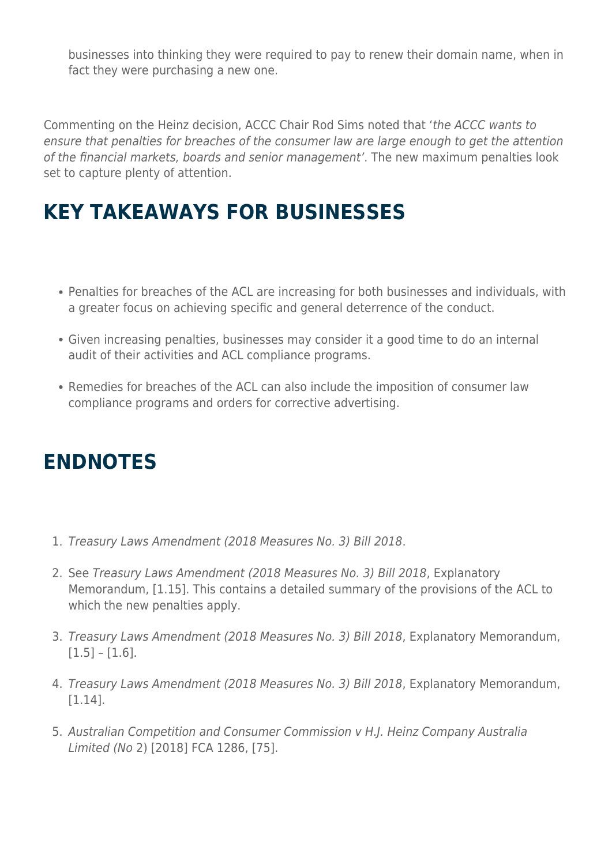businesses into thinking they were required to pay to renew their domain name, when in fact they were purchasing a new one.

Commenting on the Heinz decision, ACCC Chair Rod Sims noted that 'the ACCC wants to ensure that penalties for breaches of the consumer law are large enough to get the attention of the financial markets, boards and senior management'. The new maximum penalties look set to capture plenty of attention.

### **KEY TAKEAWAYS FOR BUSINESSES**

- Penalties for breaches of the ACL are increasing for both businesses and individuals, with a greater focus on achieving specific and general deterrence of the conduct.
- Given increasing penalties, businesses may consider it a good time to do an internal audit of their activities and ACL compliance programs.
- Remedies for breaches of the ACL can also include the imposition of consumer law compliance programs and orders for corrective advertising.

### **ENDNOTES**

- 1. Treasury Laws Amendment (2018 Measures No. 3) Bill 2018.
- 2. See Treasury Laws Amendment (2018 Measures No. 3) Bill 2018, Explanatory Memorandum, [1.15]. This contains a detailed summary of the provisions of the ACL to which the new penalties apply.
- 3. Treasury Laws Amendment (2018 Measures No. 3) Bill 2018, Explanatory Memorandum,  $[1.5] - [1.6]$ .
- 4. Treasury Laws Amendment (2018 Measures No. 3) Bill 2018, Explanatory Memorandum, [1.14].
- 5. Australian Competition and Consumer Commission v H.J. Heinz Company Australia Limited (No 2) [2018] FCA 1286, [75].